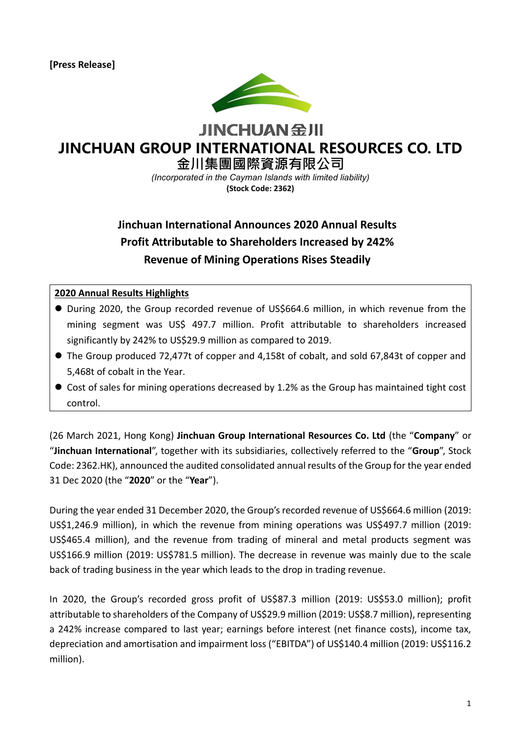

**JINCHUAN SHI** 

# **JINCHUAN GROUP INTERNATIONAL RESOURCES CO. LTD**

**金川集團國際資源有限公司**

*(Incorporated in the Cayman Islands with limited liability)* **(Stock Code: 2362)**

# **Jinchuan International Announces 2020 Annual Results Profit Attributable to Shareholders Increased by 242% Revenue of Mining Operations Rises Steadily**

#### **2020 Annual Results Highlights**

- During 2020, the Group recorded revenue of US\$664.6 million, in which revenue from the mining segment was US\$ 497.7 million. Profit attributable to shareholders increased significantly by 242% to US\$29.9 million as compared to 2019.
- ⚫ The Group produced 72,477t of copper and 4,158t of cobalt, and sold 67,843t of copper and 5,468t of cobalt in the Year.
- Cost of sales for mining operations decreased by 1.2% as the Group has maintained tight cost control.

(26 March 2021, Hong Kong) **Jinchuan Group International Resources Co. Ltd** (the "**Company**" or "**Jinchuan International**", together with its subsidiaries, collectively referred to the "**Group**", Stock Code: 2362.HK), announced the audited consolidated annual results of the Group for the year ended 31 Dec 2020 (the "**2020**" or the "**Year**").

During the year ended 31 December 2020, the Group's recorded revenue of US\$664.6 million (2019: US\$1,246.9 million), in which the revenue from mining operations was US\$497.7 million (2019: US\$465.4 million), and the revenue from trading of mineral and metal products segment was US\$166.9 million (2019: US\$781.5 million). The decrease in revenue was mainly due to the scale back of trading business in the year which leads to the drop in trading revenue.

In 2020, the Group's recorded gross profit of US\$87.3 million (2019: US\$53.0 million); profit attributable to shareholders of the Company of US\$29.9 million (2019: US\$8.7 million), representing a 242% increase compared to last year; earnings before interest (net finance costs), income tax, depreciation and amortisation and impairment loss ("EBITDA") of US\$140.4 million (2019: US\$116.2 million).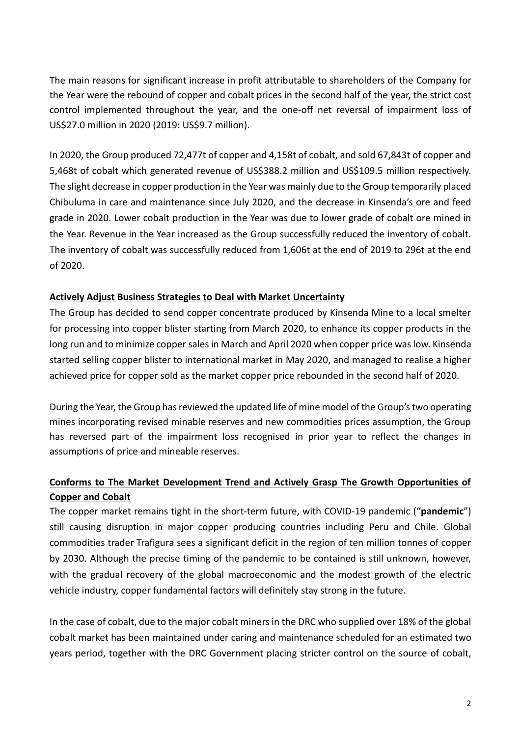The main reasons for significant increase in profit attributable to shareholders of the Company for the Year were the rebound of copper and cobalt prices in the second half of the year, the strict cost control implemented throughout the year, and the one-off net reversal of impairment loss of US\$27.0 million in 2020 (2019: US\$9.7 million).

In 2020, the Group produced 72,477t of copper and 4,158t of cobalt, and sold 67,843t of copper and 5,468t of cobalt which generated revenue of US\$388.2 million and US\$109.5 million respectively. The slight decrease in copper production in the Year was mainly due to the Group temporarily placed Chibuluma in care and maintenance since July 2020, and the decrease in Kinsenda's ore and feed grade in 2020. Lower cobalt production in the Year was due to lower grade of cobalt ore mined in the Year. Revenue in the Year increased as the Group successfully reduced the inventory of cobalt. The inventory of cobalt was successfully reduced from 1,606t at the end of 2019 to 296t at the end of 2020.

# **Actively Adjust Business Strategies to Deal with Market Uncertainty**

The Group has decided to send copper concentrate produced by Kinsenda Mine to a local smelter for processing into copper blister starting from March 2020, to enhance its copper products in the long run and to minimize copper sales in March and April 2020 when copper price was low. Kinsenda started selling copper blister to international market in May 2020, and managed to realise a higher achieved price for copper sold as the market copper price rebounded in the second half of 2020.

During the Year, the Group has reviewed the updated life of mine model of the Group's two operating mines incorporating revised minable reserves and new commodities prices assumption, the Group has reversed part of the impairment loss recognised in prior year to reflect the changes in assumptions of price and mineable reserves.

# **Conforms to The Market Development Trend and Actively Grasp The Growth Opportunities of Copper and Cobalt**

The copper market remains tight in the short-term future, with COVID-19 pandemic ("**pandemic**") still causing disruption in major copper producing countries including Peru and Chile. Global commodities trader Trafigura sees a significant deficit in the region of ten million tonnes of copper by 2030. Although the precise timing of the pandemic to be contained is still unknown, however, with the gradual recovery of the global macroeconomic and the modest growth of the electric vehicle industry, copper fundamental factors will definitely stay strong in the future.

In the case of cobalt, due to the major cobalt miners in the DRC who supplied over 18% of the global cobalt market has been maintained under caring and maintenance scheduled for an estimated two years period, together with the DRC Government placing stricter control on the source of cobalt,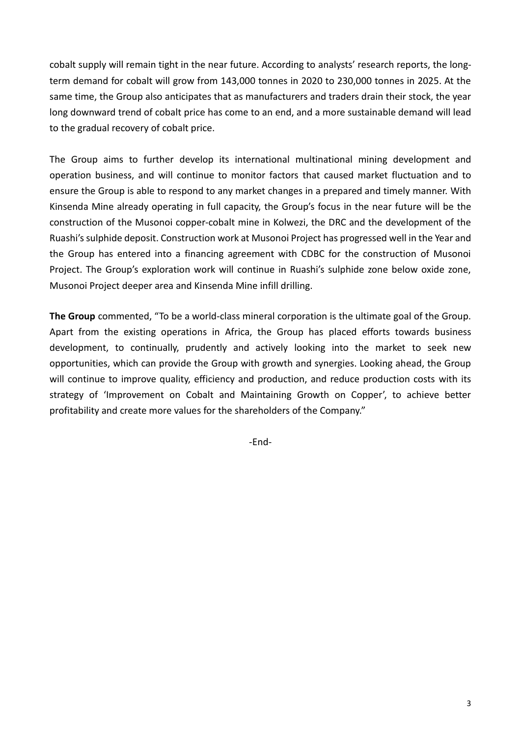cobalt supply will remain tight in the near future. According to analysts' research reports, the longterm demand for cobalt will grow from 143,000 tonnes in 2020 to 230,000 tonnes in 2025. At the same time, the Group also anticipates that as manufacturers and traders drain their stock, the year long downward trend of cobalt price has come to an end, and a more sustainable demand will lead to the gradual recovery of cobalt price.

The Group aims to further develop its international multinational mining development and operation business, and will continue to monitor factors that caused market fluctuation and to ensure the Group is able to respond to any market changes in a prepared and timely manner. With Kinsenda Mine already operating in full capacity, the Group's focus in the near future will be the construction of the Musonoi copper-cobalt mine in Kolwezi, the DRC and the development of the Ruashi's sulphide deposit. Construction work at Musonoi Project has progressed well in the Year and the Group has entered into a financing agreement with CDBC for the construction of Musonoi Project. The Group's exploration work will continue in Ruashi's sulphide zone below oxide zone, Musonoi Project deeper area and Kinsenda Mine infill drilling.

**The Group** commented, "To be a world-class mineral corporation is the ultimate goal of the Group. Apart from the existing operations in Africa, the Group has placed efforts towards business development, to continually, prudently and actively looking into the market to seek new opportunities, which can provide the Group with growth and synergies. Looking ahead, the Group will continue to improve quality, efficiency and production, and reduce production costs with its strategy of 'Improvement on Cobalt and Maintaining Growth on Copper', to achieve better profitability and create more values for the shareholders of the Company."

-End-